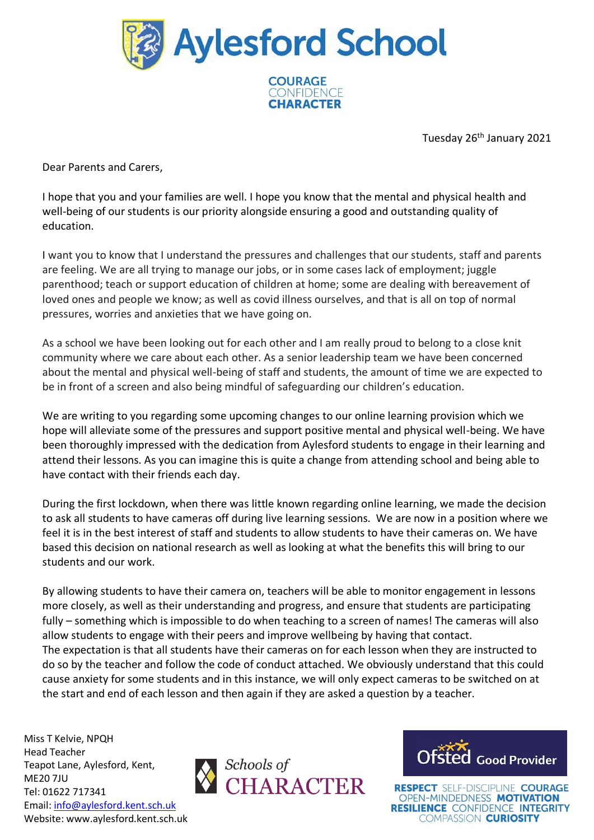

**CHARACTER** 

Tuesday 26th January 2021

Dear Parents and Carers,

I hope that you and your families are well. I hope you know that the mental and physical health and well-being of our students is our priority alongside ensuring a good and outstanding quality of education.

I want you to know that I understand the pressures and challenges that our students, staff and parents are feeling. We are all trying to manage our jobs, or in some cases lack of employment; juggle parenthood; teach or support education of children at home; some are dealing with bereavement of loved ones and people we know; as well as covid illness ourselves, and that is all on top of normal pressures, worries and anxieties that we have going on.

As a school we have been looking out for each other and I am really proud to belong to a close knit community where we care about each other. As a senior leadership team we have been concerned about the mental and physical well-being of staff and students, the amount of time we are expected to be in front of a screen and also being mindful of safeguarding our children's education.

We are writing to you regarding some upcoming changes to our online learning provision which we hope will alleviate some of the pressures and support positive mental and physical well-being. We have been thoroughly impressed with the dedication from Aylesford students to engage in their learning and attend their lessons. As you can imagine this is quite a change from attending school and being able to have contact with their friends each day.

During the first lockdown, when there was little known regarding online learning, we made the decision to ask all students to have cameras off during live learning sessions. We are now in a position where we feel it is in the best interest of staff and students to allow students to have their cameras on. We have based this decision on national research as well as looking at what the benefits this will bring to our students and our work.

By allowing students to have their camera on, teachers will be able to monitor engagement in lessons more closely, as well as their understanding and progress, and ensure that students are participating fully – something which is impossible to do when teaching to a screen of names! The cameras will also allow students to engage with their peers and improve wellbeing by having that contact. The expectation is that all students have their cameras on for each lesson when they are instructed to do so by the teacher and follow the code of conduct attached. We obviously understand that this could cause anxiety for some students and in this instance, we will only expect cameras to be switched on at the start and end of each lesson and then again if they are asked a question by a teacher.

Miss T Kelvie, NPQH Head Teacher Teapot Lane, Aylesford, Kent, ME20 7JU Tel: 01622 717341 Email: [info@aylesford.kent.sch.uk](mailto:info@aylesford.kent.sch.uk) Website: www.aylesford.kent.sch.uk



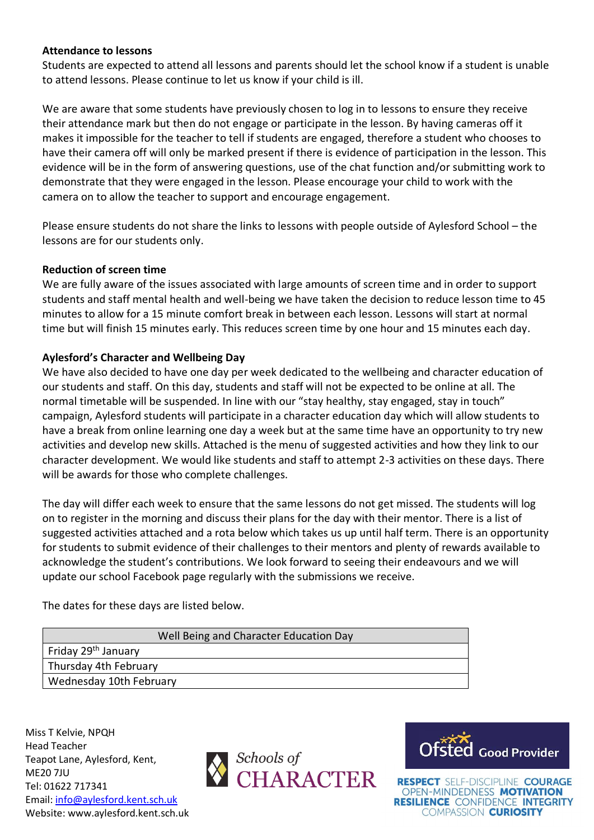### **Attendance to lessons**

Students are expected to attend all lessons and parents should let the school know if a student is unable to attend lessons. Please continue to let us know if your child is ill.

We are aware that some students have previously chosen to log in to lessons to ensure they receive their attendance mark but then do not engage or participate in the lesson. By having cameras off it makes it impossible for the teacher to tell if students are engaged, therefore a student who chooses to have their camera off will only be marked present if there is evidence of participation in the lesson. This evidence will be in the form of answering questions, use of the chat function and/or submitting work to demonstrate that they were engaged in the lesson. Please encourage your child to work with the camera on to allow the teacher to support and encourage engagement.

Please ensure students do not share the links to lessons with people outside of Aylesford School – the lessons are for our students only.

#### **Reduction of screen time**

We are fully aware of the issues associated with large amounts of screen time and in order to support students and staff mental health and well-being we have taken the decision to reduce lesson time to 45 minutes to allow for a 15 minute comfort break in between each lesson. Lessons will start at normal time but will finish 15 minutes early. This reduces screen time by one hour and 15 minutes each day.

#### **Aylesford's Character and Wellbeing Day**

We have also decided to have one day per week dedicated to the wellbeing and character education of our students and staff. On this day, students and staff will not be expected to be online at all. The normal timetable will be suspended. In line with our "stay healthy, stay engaged, stay in touch" campaign, Aylesford students will participate in a character education day which will allow students to have a break from online learning one day a week but at the same time have an opportunity to try new activities and develop new skills. Attached is the menu of suggested activities and how they link to our character development. We would like students and staff to attempt 2-3 activities on these days. There will be awards for those who complete challenges.

The day will differ each week to ensure that the same lessons do not get missed. The students will log on to register in the morning and discuss their plans for the day with their mentor. There is a list of suggested activities attached and a rota below which takes us up until half term. There is an opportunity for students to submit evidence of their challenges to their mentors and plenty of rewards available to acknowledge the student's contributions. We look forward to seeing their endeavours and we will update our school Facebook page regularly with the submissions we receive.

The dates for these days are listed below.

#### Well Being and Character Education Day

Friday 29th January Thursday 4th February Wednesday 10th February

Miss T Kelvie, NPQH Head Teacher Teapot Lane, Aylesford, Kent, ME20 7JU Tel: 01622 717341 Email[: info@aylesford.kent.sch.uk](mailto:info@aylesford.kent.sch.uk) Website: www.aylesford.kent.sch.uk



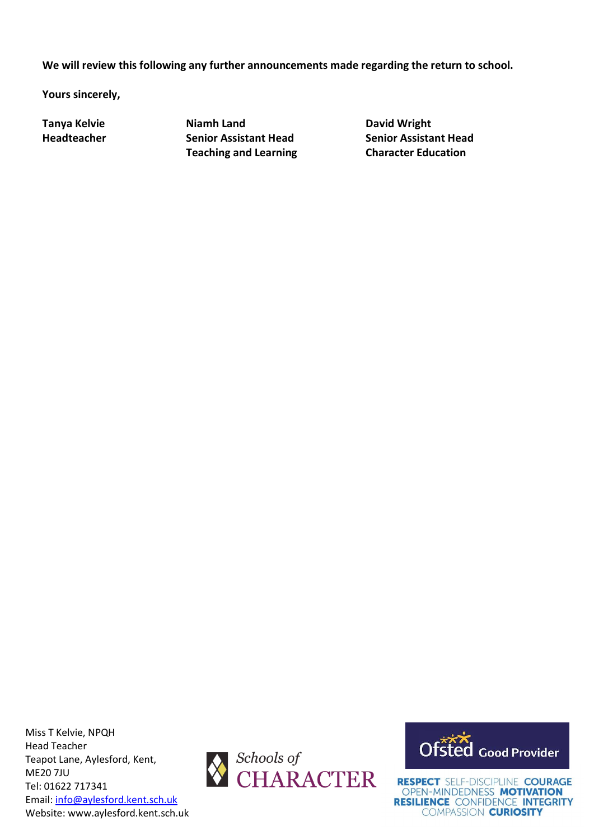**We will review this following any further announcements made regarding the return to school.**

**Yours sincerely,**

**Tanya Kelvie Niamh Land David Wright Teaching and Learning Character Education**

**Headteacher Senior Assistant Head Senior Assistant Head**

Miss T Kelvie, NPQH Head Teacher Teapot Lane, Aylesford, Kent, ME20 7JU Tel: 01622 717341 Email[: info@aylesford.kent.sch.uk](mailto:info@aylesford.kent.sch.uk) Website: www.aylesford.kent.sch.uk



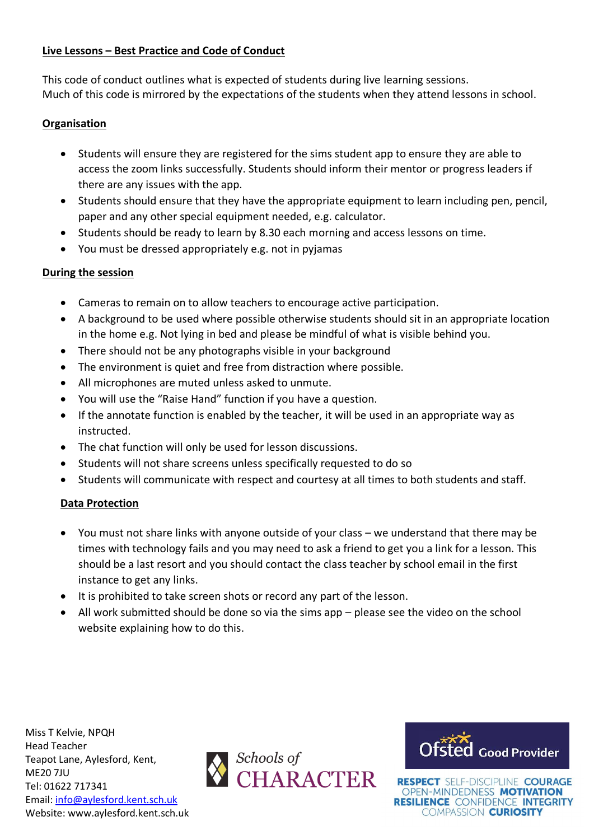# **Live Lessons – Best Practice and Code of Conduct**

This code of conduct outlines what is expected of students during live learning sessions. Much of this code is mirrored by the expectations of the students when they attend lessons in school.

## **Organisation**

- Students will ensure they are registered for the sims student app to ensure they are able to access the zoom links successfully. Students should inform their mentor or progress leaders if there are any issues with the app.
- Students should ensure that they have the appropriate equipment to learn including pen, pencil, paper and any other special equipment needed, e.g. calculator.
- Students should be ready to learn by 8.30 each morning and access lessons on time.
- You must be dressed appropriately e.g. not in pyjamas

# **During the session**

- Cameras to remain on to allow teachers to encourage active participation.
- A background to be used where possible otherwise students should sit in an appropriate location in the home e.g. Not lying in bed and please be mindful of what is visible behind you.
- There should not be any photographs visible in your background
- The environment is quiet and free from distraction where possible.
- All microphones are muted unless asked to unmute.
- You will use the "Raise Hand" function if you have a question.
- If the annotate function is enabled by the teacher, it will be used in an appropriate way as instructed.
- The chat function will only be used for lesson discussions.
- Students will not share screens unless specifically requested to do so
- Students will communicate with respect and courtesy at all times to both students and staff.

# **Data Protection**

- You must not share links with anyone outside of your class we understand that there may be times with technology fails and you may need to ask a friend to get you a link for a lesson. This should be a last resort and you should contact the class teacher by school email in the first instance to get any links.
- It is prohibited to take screen shots or record any part of the lesson.
- All work submitted should be done so via the sims app please see the video on the school website explaining how to do this.

Miss T Kelvie, NPQH Head Teacher Teapot Lane, Aylesford, Kent, ME20 7JU Tel: 01622 717341 Email[: info@aylesford.kent.sch.uk](mailto:info@aylesford.kent.sch.uk) Website: www.aylesford.kent.sch.uk